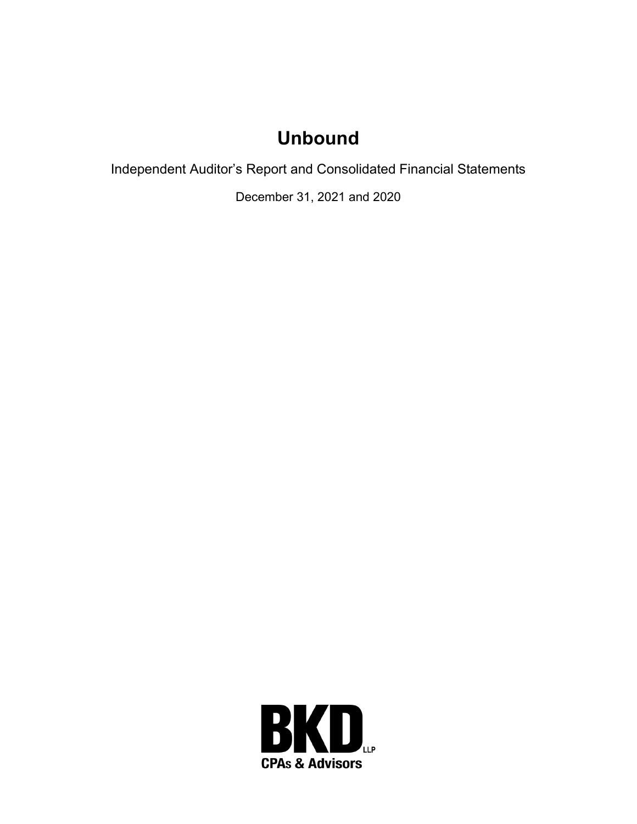# **Unbound**

Independent Auditor's Report and Consolidated Financial Statements

December 31, 2021 and 2020

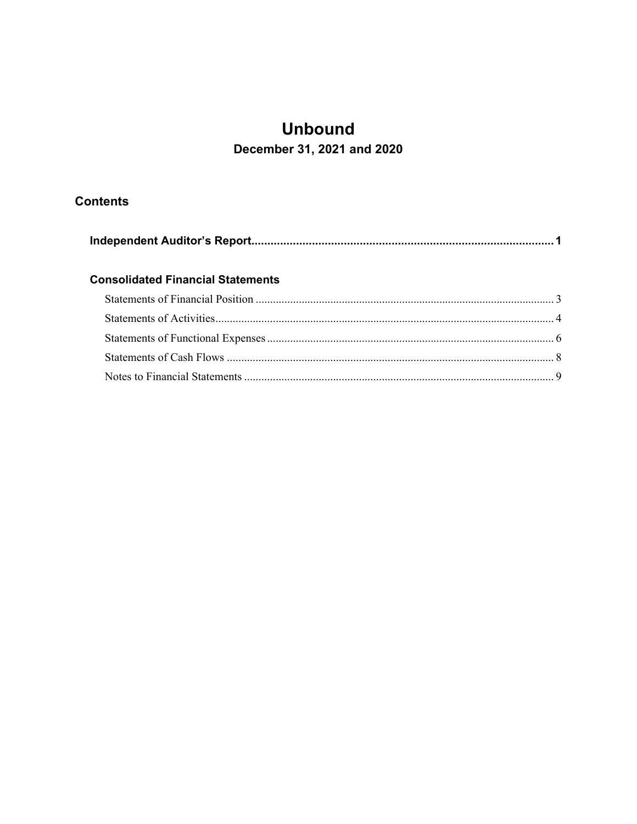# **Unbound**

December 31, 2021 and 2020

### **Contents**

|--|--|

### **Consolidated Financial Statements**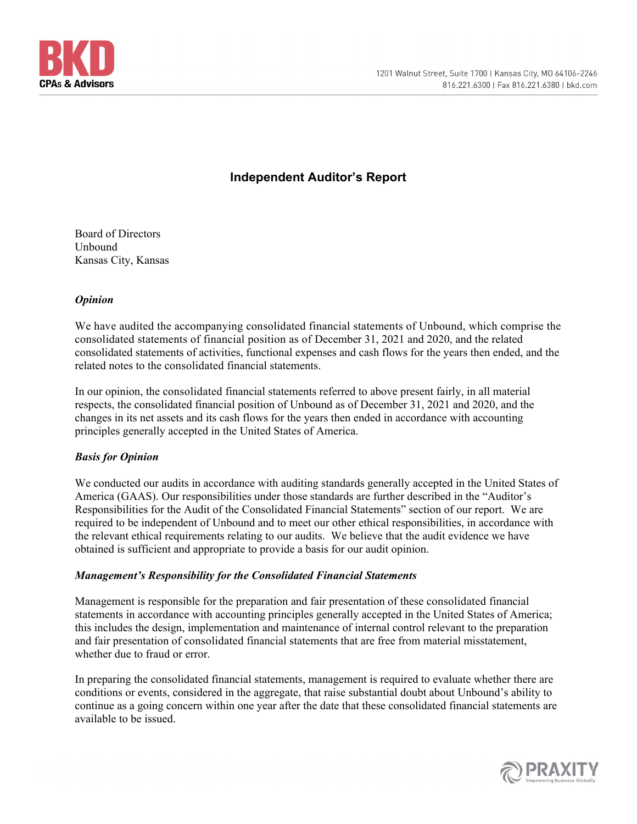

### **Independent Auditor's Report**

Board of Directors Unbound Kansas City, Kansas

#### *Opinion*

We have audited the accompanying consolidated financial statements of Unbound, which comprise the consolidated statements of financial position as of December 31, 2021 and 2020, and the related consolidated statements of activities, functional expenses and cash flows for the years then ended, and the related notes to the consolidated financial statements.

In our opinion, the consolidated financial statements referred to above present fairly, in all material respects, the consolidated financial position of Unbound as of December 31, 2021 and 2020, and the changes in its net assets and its cash flows for the years then ended in accordance with accounting principles generally accepted in the United States of America.

### *Basis for Opinion*

We conducted our audits in accordance with auditing standards generally accepted in the United States of America (GAAS). Our responsibilities under those standards are further described in the "Auditor's Responsibilities for the Audit of the Consolidated Financial Statements" section of our report. We are required to be independent of Unbound and to meet our other ethical responsibilities, in accordance with the relevant ethical requirements relating to our audits. We believe that the audit evidence we have obtained is sufficient and appropriate to provide a basis for our audit opinion.

#### *Management's Responsibility for the Consolidated Financial Statements*

Management is responsible for the preparation and fair presentation of these consolidated financial statements in accordance with accounting principles generally accepted in the United States of America; this includes the design, implementation and maintenance of internal control relevant to the preparation and fair presentation of consolidated financial statements that are free from material misstatement, whether due to fraud or error.

In preparing the consolidated financial statements, management is required to evaluate whether there are conditions or events, considered in the aggregate, that raise substantial doubt about Unbound's ability to continue as a going concern within one year after the date that these consolidated financial statements are available to be issued.

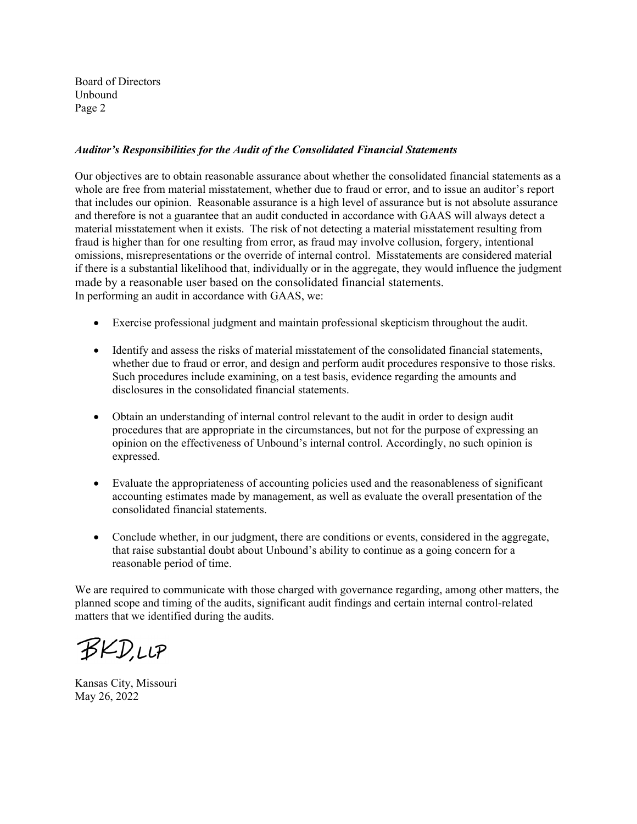Board of Directors Unbound Page 2

#### *Auditor's Responsibilities for the Audit of the Consolidated Financial Statements*

Our objectives are to obtain reasonable assurance about whether the consolidated financial statements as a whole are free from material misstatement, whether due to fraud or error, and to issue an auditor's report that includes our opinion. Reasonable assurance is a high level of assurance but is not absolute assurance and therefore is not a guarantee that an audit conducted in accordance with GAAS will always detect a material misstatement when it exists. The risk of not detecting a material misstatement resulting from fraud is higher than for one resulting from error, as fraud may involve collusion, forgery, intentional omissions, misrepresentations or the override of internal control. Misstatements are considered material if there is a substantial likelihood that, individually or in the aggregate, they would influence the judgment made by a reasonable user based on the consolidated financial statements. In performing an audit in accordance with GAAS, we:

- Exercise professional judgment and maintain professional skepticism throughout the audit.
- Identify and assess the risks of material misstatement of the consolidated financial statements, whether due to fraud or error, and design and perform audit procedures responsive to those risks. Such procedures include examining, on a test basis, evidence regarding the amounts and disclosures in the consolidated financial statements.
- Obtain an understanding of internal control relevant to the audit in order to design audit procedures that are appropriate in the circumstances, but not for the purpose of expressing an opinion on the effectiveness of Unbound's internal control. Accordingly, no such opinion is expressed.
- Evaluate the appropriateness of accounting policies used and the reasonableness of significant accounting estimates made by management, as well as evaluate the overall presentation of the consolidated financial statements.
- Conclude whether, in our judgment, there are conditions or events, considered in the aggregate, that raise substantial doubt about Unbound's ability to continue as a going concern for a reasonable period of time.

We are required to communicate with those charged with governance regarding, among other matters, the planned scope and timing of the audits, significant audit findings and certain internal control-related matters that we identified during the audits.

BKD,LLP

Kansas City, Missouri May 26, 2022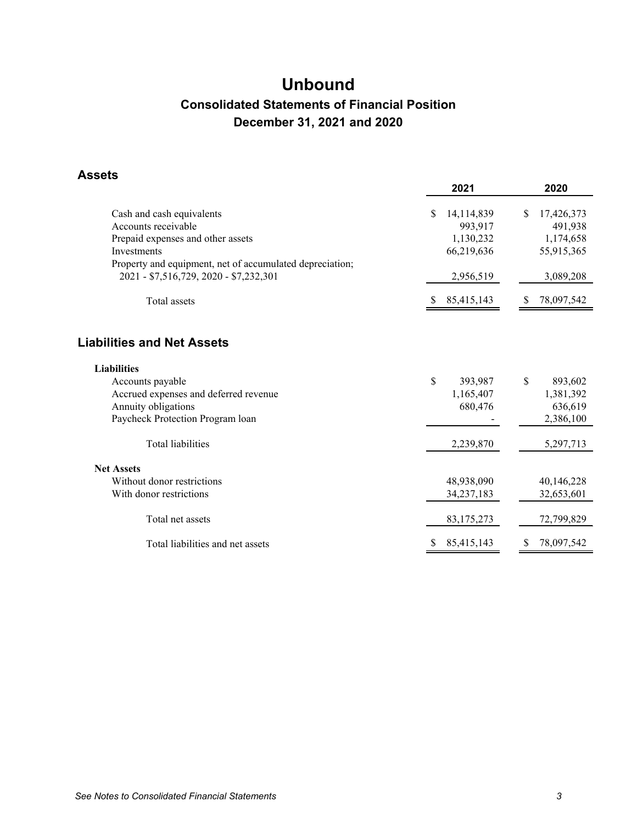# **Unbound Consolidated Statements of Financial Position December 31, 2021 and 2020**

### **Assets**

|                                                                                                    | 2021                        | 2020                        |
|----------------------------------------------------------------------------------------------------|-----------------------------|-----------------------------|
| Cash and cash equivalents<br>Accounts receivable                                                   | \$<br>14,114,839<br>993,917 | 17,426,373<br>S.<br>491,938 |
| Prepaid expenses and other assets                                                                  | 1,130,232                   | 1,174,658                   |
| Investments                                                                                        | 66,219,636                  | 55,915,365                  |
| Property and equipment, net of accumulated depreciation;<br>2021 - \$7,516,729, 2020 - \$7,232,301 | 2,956,519                   | 3,089,208                   |
| Total assets                                                                                       | 85,415,143                  | 78,097,542<br>S             |
| <b>Liabilities and Net Assets</b>                                                                  |                             |                             |
| <b>Liabilities</b>                                                                                 |                             |                             |
| Accounts payable                                                                                   | \$<br>393,987               | \$<br>893,602               |
| Accrued expenses and deferred revenue                                                              | 1,165,407                   | 1,381,392                   |
| Annuity obligations                                                                                | 680,476                     | 636,619                     |
| Paycheck Protection Program loan                                                                   |                             | 2,386,100                   |
| <b>Total liabilities</b>                                                                           | 2,239,870                   | 5,297,713                   |
| <b>Net Assets</b>                                                                                  |                             |                             |
| Without donor restrictions                                                                         | 48,938,090                  | 40,146,228                  |
| With donor restrictions                                                                            | 34,237,183                  | 32,653,601                  |
| Total net assets                                                                                   | 83, 175, 273                | 72,799,829                  |
| Total liabilities and net assets                                                                   | 85,415,143<br>S             | 78,097,542<br>S             |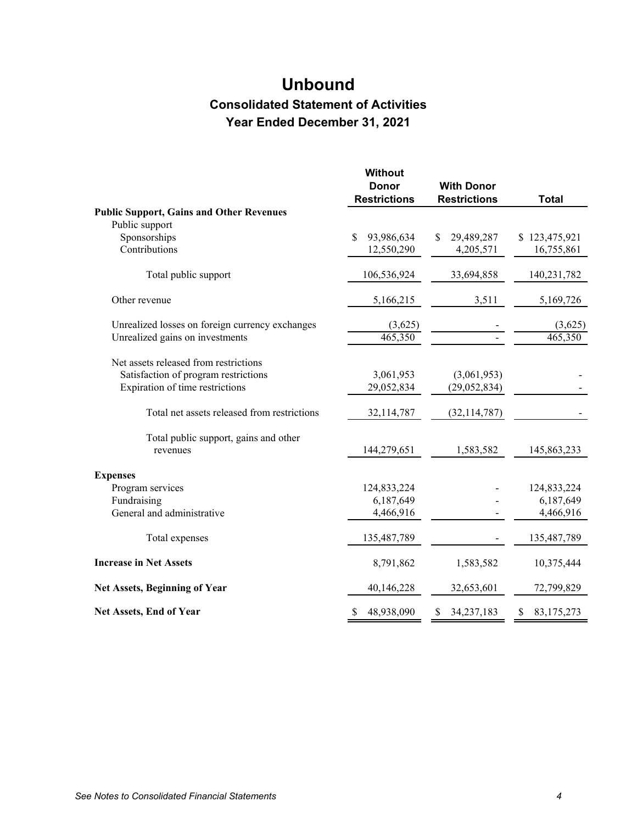# **Unbound Consolidated Statement of Activities Year Ended December 31, 2021**

|                                                 | <b>Without</b><br><b>Donor</b> | <b>With Donor</b>   |                  |
|-------------------------------------------------|--------------------------------|---------------------|------------------|
|                                                 | <b>Restrictions</b>            | <b>Restrictions</b> | <b>Total</b>     |
| <b>Public Support, Gains and Other Revenues</b> |                                |                     |                  |
| Public support                                  |                                |                     |                  |
| Sponsorships                                    | \$<br>93,986,634               | 29,489,287<br>S     | \$123,475,921    |
| Contributions                                   | 12,550,290                     | 4,205,571           | 16,755,861       |
| Total public support                            | 106,536,924                    | 33,694,858          | 140,231,782      |
| Other revenue                                   | 5,166,215                      | 3,511               | 5,169,726        |
| Unrealized losses on foreign currency exchanges | (3,625)                        |                     | (3,625)          |
| Unrealized gains on investments                 | 465,350                        |                     | 465,350          |
| Net assets released from restrictions           |                                |                     |                  |
| Satisfaction of program restrictions            | 3,061,953                      | (3,061,953)         |                  |
| Expiration of time restrictions                 | 29,052,834                     | (29,052,834)        |                  |
| Total net assets released from restrictions     | 32,114,787                     | (32, 114, 787)      |                  |
| Total public support, gains and other           |                                |                     |                  |
| revenues                                        | 144,279,651                    | 1,583,582           | 145,863,233      |
| <b>Expenses</b>                                 |                                |                     |                  |
| Program services                                | 124,833,224                    |                     | 124,833,224      |
| Fundraising                                     | 6,187,649                      |                     | 6,187,649        |
| General and administrative                      | 4,466,916                      |                     | 4,466,916        |
| Total expenses                                  | 135,487,789                    |                     | 135,487,789      |
| <b>Increase in Net Assets</b>                   | 8,791,862                      | 1,583,582           | 10,375,444       |
| <b>Net Assets, Beginning of Year</b>            | 40,146,228                     | 32,653,601          | 72,799,829       |
| Net Assets, End of Year                         | \$<br>48,938,090               | \$<br>34,237,183    | \$<br>83,175,273 |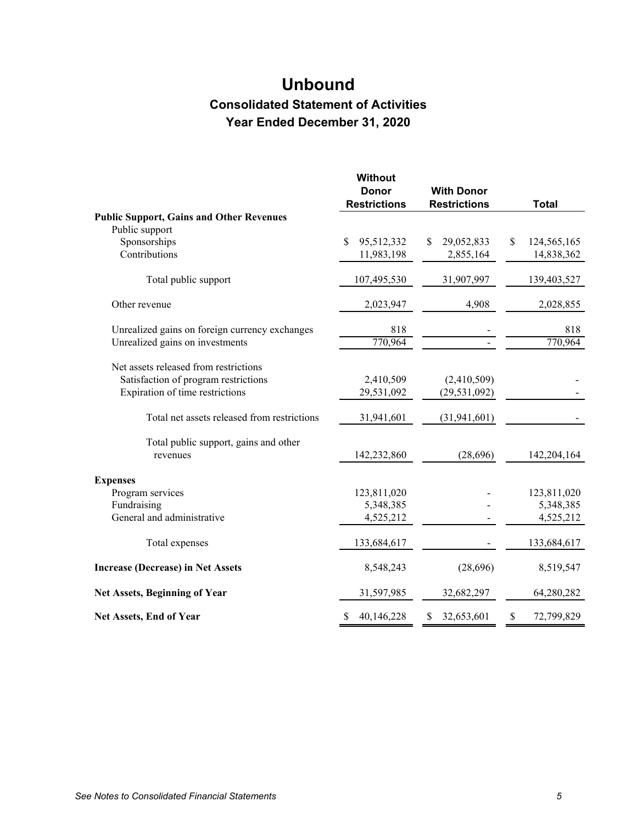# **Unbound Consolidated Statement of Activities Year Ended December 31, 2020**

|                                                 | <b>Without</b><br><b>Donor</b> | <b>With Donor</b>   |                   |
|-------------------------------------------------|--------------------------------|---------------------|-------------------|
|                                                 | <b>Restrictions</b>            | <b>Restrictions</b> | <b>Total</b>      |
| <b>Public Support, Gains and Other Revenues</b> |                                |                     |                   |
| Public support<br>Sponsorships                  | \$<br>95,512,332               | 29,052,833<br>\$    | \$<br>124,565,165 |
| Contributions                                   | 11,983,198                     | 2,855,164           | 14,838,362        |
|                                                 |                                |                     |                   |
| Total public support                            | 107,495,530                    | 31,907,997          | 139,403,527       |
| Other revenue                                   | 2,023,947                      | 4,908               | 2,028,855         |
| Unrealized gains on foreign currency exchanges  | 818                            |                     | 818               |
| Unrealized gains on investments                 | 770,964                        |                     | 770,964           |
| Net assets released from restrictions           |                                |                     |                   |
| Satisfaction of program restrictions            | 2,410,509                      | (2,410,509)         |                   |
| Expiration of time restrictions                 | 29,531,092                     | (29, 531, 092)      |                   |
| Total net assets released from restrictions     | 31,941,601                     | (31, 941, 601)      |                   |
| Total public support, gains and other           |                                |                     |                   |
| revenues                                        | 142,232,860                    | (28, 696)           | 142,204,164       |
| <b>Expenses</b>                                 |                                |                     |                   |
| Program services                                | 123,811,020                    |                     | 123,811,020       |
| Fundraising                                     | 5,348,385                      |                     | 5,348,385         |
| General and administrative                      | 4,525,212                      |                     | 4,525,212         |
| Total expenses                                  | 133,684,617                    |                     | 133,684,617       |
| <b>Increase (Decrease) in Net Assets</b>        | 8,548,243                      | (28,696)            | 8,519,547         |
| <b>Net Assets, Beginning of Year</b>            | 31,597,985                     | 32,682,297          | 64,280,282        |
| Net Assets, End of Year                         | \$<br>40,146,228               | 32,653,601<br>\$    | \$<br>72,799,829  |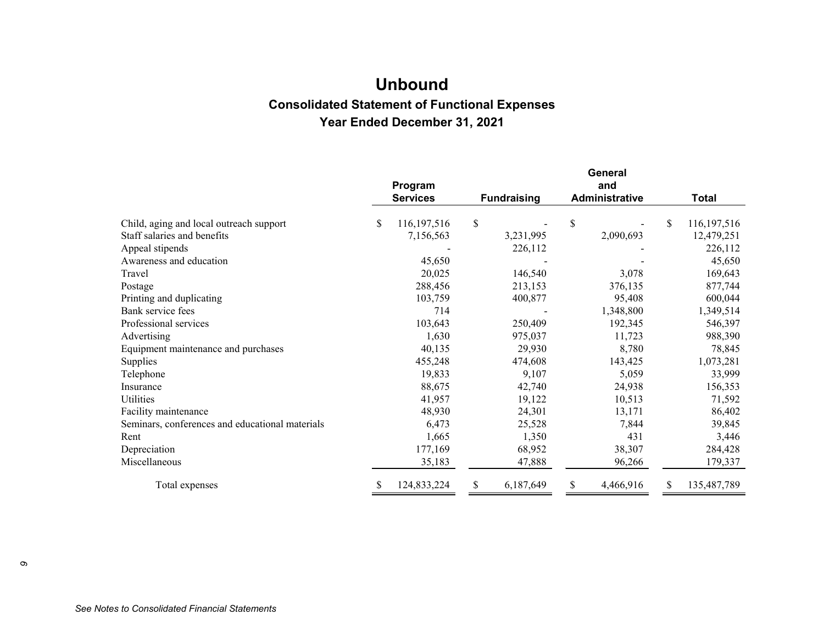### **Unbound Consolidated Statement of Functional Expenses Year Ended December 31, 2021**

|                                                 | Program |                 |    | General<br>and     |                |           |               |               |
|-------------------------------------------------|---------|-----------------|----|--------------------|----------------|-----------|---------------|---------------|
|                                                 |         | <b>Services</b> |    | <b>Fundraising</b> | Administrative |           |               | <b>Total</b>  |
| Child, aging and local outreach support         | S.      | 116, 197, 516   | \$ |                    | \$             |           | <sup>\$</sup> | 116, 197, 516 |
| Staff salaries and benefits                     |         | 7,156,563       |    | 3,231,995          |                | 2,090,693 |               | 12,479,251    |
| Appeal stipends                                 |         |                 |    | 226,112            |                |           |               | 226,112       |
| Awareness and education                         |         | 45,650          |    |                    |                |           |               | 45,650        |
| Travel                                          |         | 20,025          |    | 146,540            |                | 3,078     |               | 169,643       |
| Postage                                         |         | 288,456         |    | 213,153            |                | 376,135   |               | 877,744       |
| Printing and duplicating                        |         | 103,759         |    | 400,877            |                | 95,408    |               | 600,044       |
| Bank service fees                               |         | 714             |    |                    |                | 1,348,800 |               | 1,349,514     |
| Professional services                           |         | 103,643         |    | 250,409            |                | 192,345   |               | 546,397       |
| Advertising                                     |         | 1,630           |    | 975,037            |                | 11,723    |               | 988,390       |
| Equipment maintenance and purchases             |         | 40,135          |    | 29,930             |                | 8,780     |               | 78,845        |
| Supplies                                        |         | 455,248         |    | 474,608            |                | 143,425   |               | 1,073,281     |
| Telephone                                       |         | 19,833          |    | 9,107              |                | 5,059     |               | 33,999        |
| Insurance                                       |         | 88,675          |    | 42,740             |                | 24,938    |               | 156,353       |
| <b>Utilities</b>                                |         | 41,957          |    | 19,122             |                | 10,513    |               | 71,592        |
| Facility maintenance                            |         | 48,930          |    | 24,301             |                | 13,171    |               | 86,402        |
| Seminars, conferences and educational materials |         | 6,473           |    | 25,528             |                | 7,844     |               | 39,845        |
| Rent                                            |         | 1,665           |    | 1,350              |                | 431       |               | 3,446         |
| Depreciation                                    |         | 177,169         |    | 68,952             |                | 38,307    |               | 284,428       |
| Miscellaneous                                   |         | 35,183          |    | 47,888             |                | 96,266    |               | 179,337       |
| Total expenses                                  | \$      | 124,833,224     | \$ | 6,187,649          | \$             | 4,466,916 | S             | 135,487,789   |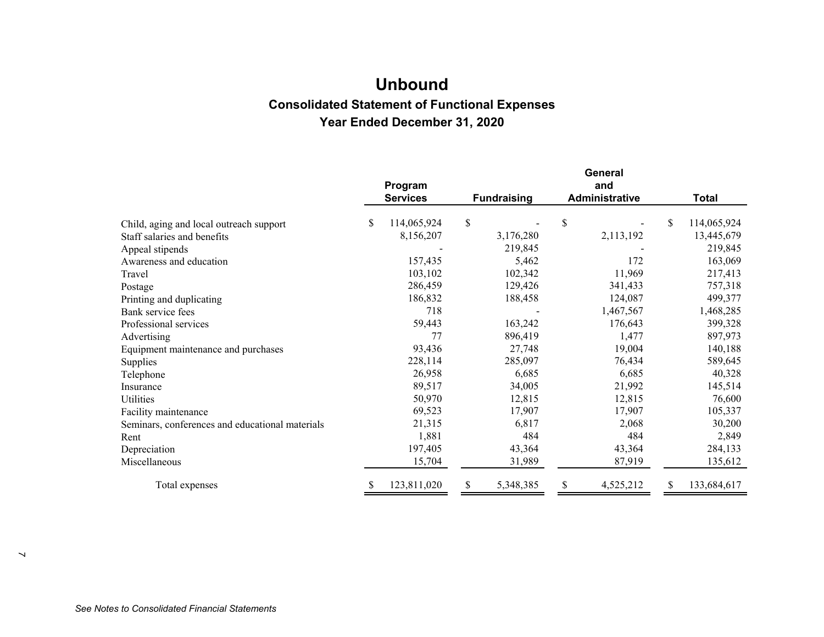### **Unbound Consolidated Statement of Functional Expenses Year Ended December 31, 2020**

|                                                 | Program<br><b>Services</b> |             | <b>Fundraising</b> | General<br>and<br>Administrative |           |   | <b>Total</b> |  |
|-------------------------------------------------|----------------------------|-------------|--------------------|----------------------------------|-----------|---|--------------|--|
| Child, aging and local outreach support         | S                          | 114,065,924 | \$                 | \$                               |           | S | 114,065,924  |  |
| Staff salaries and benefits                     |                            | 8,156,207   | 3,176,280          |                                  | 2,113,192 |   | 13,445,679   |  |
| Appeal stipends                                 |                            |             | 219,845            |                                  |           |   | 219,845      |  |
| Awareness and education                         |                            | 157,435     | 5,462              |                                  | 172       |   | 163,069      |  |
| Travel                                          |                            | 103,102     | 102,342            |                                  | 11,969    |   | 217,413      |  |
| Postage                                         |                            | 286,459     | 129,426            |                                  | 341,433   |   | 757,318      |  |
| Printing and duplicating                        |                            | 186,832     | 188,458            |                                  | 124,087   |   | 499,377      |  |
| Bank service fees                               |                            | 718         |                    |                                  | 1,467,567 |   | 1,468,285    |  |
| Professional services                           |                            | 59,443      | 163,242            |                                  | 176,643   |   | 399,328      |  |
| Advertising                                     |                            | 77          | 896,419            |                                  | 1,477     |   | 897,973      |  |
| Equipment maintenance and purchases             |                            | 93,436      | 27,748             |                                  | 19,004    |   | 140,188      |  |
| Supplies                                        |                            | 228,114     | 285,097            |                                  | 76,434    |   | 589,645      |  |
| Telephone                                       |                            | 26,958      | 6,685              |                                  | 6,685     |   | 40,328       |  |
| Insurance                                       |                            | 89,517      | 34,005             |                                  | 21,992    |   | 145,514      |  |
| Utilities                                       |                            | 50,970      | 12,815             |                                  | 12,815    |   | 76,600       |  |
| Facility maintenance                            |                            | 69,523      | 17,907             |                                  | 17,907    |   | 105,337      |  |
| Seminars, conferences and educational materials |                            | 21,315      | 6,817              |                                  | 2,068     |   | 30,200       |  |
| Rent                                            |                            | 1,881       | 484                |                                  | 484       |   | 2,849        |  |
| Depreciation                                    |                            | 197,405     | 43,364             |                                  | 43,364    |   | 284,133      |  |
| Miscellaneous                                   |                            | 15,704      | 31,989             |                                  | 87,919    |   | 135,612      |  |
| Total expenses                                  | S                          | 123,811,020 | \$<br>5,348,385    | \$                               | 4,525,212 | S | 133,684,617  |  |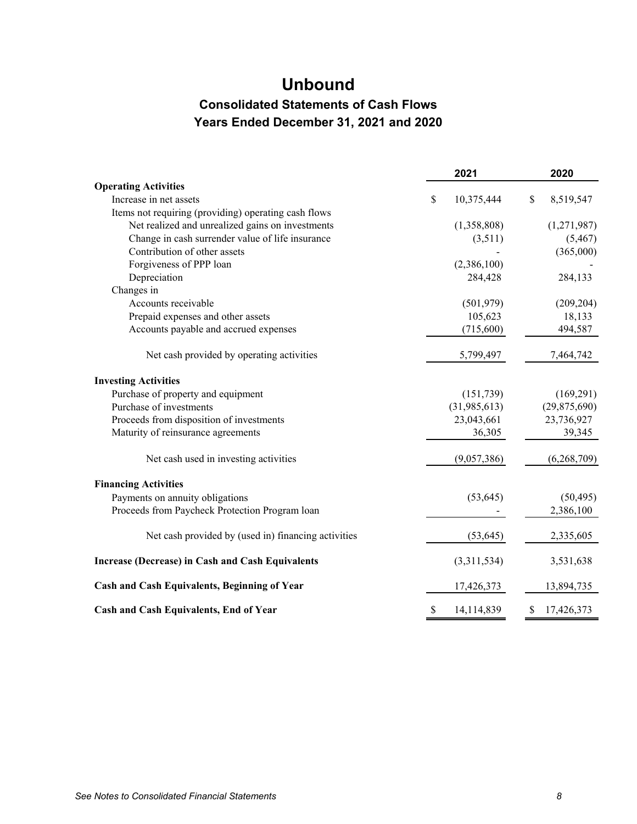# **Unbound**

### **Consolidated Statements of Cash Flows Years Ended December 31, 2021 and 2020**

|                                                      | 2021             | 2020             |
|------------------------------------------------------|------------------|------------------|
| <b>Operating Activities</b>                          |                  |                  |
| Increase in net assets                               | \$<br>10,375,444 | \$<br>8,519,547  |
| Items not requiring (providing) operating cash flows |                  |                  |
| Net realized and unrealized gains on investments     | (1,358,808)      | (1,271,987)      |
| Change in cash surrender value of life insurance     | (3,511)          | (5, 467)         |
| Contribution of other assets                         |                  | (365,000)        |
| Forgiveness of PPP loan                              | (2,386,100)      |                  |
| Depreciation                                         | 284,428          | 284,133          |
| Changes in                                           |                  |                  |
| Accounts receivable                                  | (501, 979)       | (209, 204)       |
| Prepaid expenses and other assets                    | 105,623          | 18,133           |
| Accounts payable and accrued expenses                | (715,600)        | 494,587          |
| Net cash provided by operating activities            | 5,799,497        | 7,464,742        |
| <b>Investing Activities</b>                          |                  |                  |
| Purchase of property and equipment                   | (151, 739)       | (169,291)        |
| Purchase of investments                              | (31, 985, 613)   | (29, 875, 690)   |
| Proceeds from disposition of investments             | 23,043,661       | 23,736,927       |
| Maturity of reinsurance agreements                   | 36,305           | 39,345           |
| Net cash used in investing activities                | (9,057,386)      | (6,268,709)      |
| <b>Financing Activities</b>                          |                  |                  |
| Payments on annuity obligations                      | (53, 645)        | (50, 495)        |
| Proceeds from Paycheck Protection Program loan       |                  | 2,386,100        |
| Net cash provided by (used in) financing activities  | (53, 645)        | 2,335,605        |
| Increase (Decrease) in Cash and Cash Equivalents     | (3,311,534)      | 3,531,638        |
| Cash and Cash Equivalents, Beginning of Year         | 17,426,373       | 13,894,735       |
| <b>Cash and Cash Equivalents, End of Year</b>        | \$<br>14,114,839 | \$<br>17,426,373 |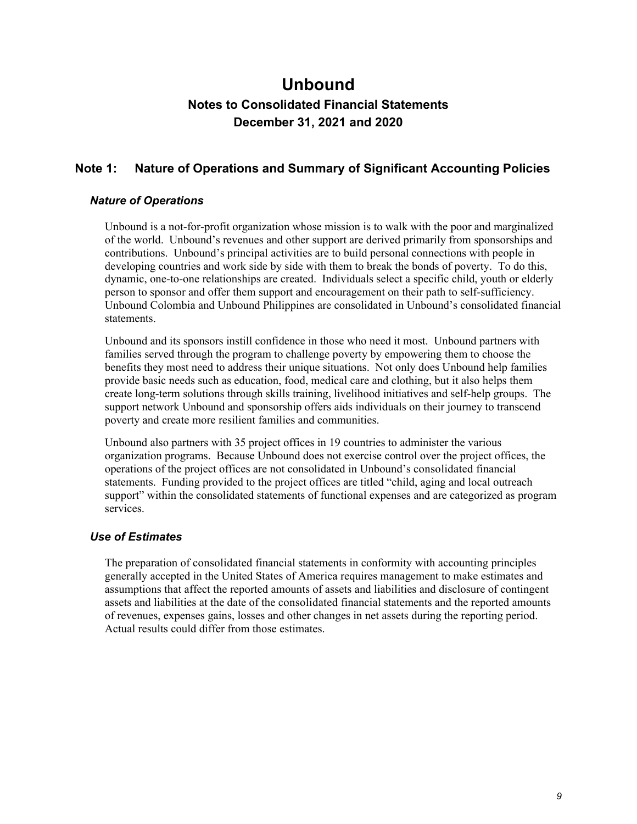### **Note 1: Nature of Operations and Summary of Significant Accounting Policies**

### *Nature of Operations*

Unbound is a not-for-profit organization whose mission is to walk with the poor and marginalized of the world. Unbound's revenues and other support are derived primarily from sponsorships and contributions. Unbound's principal activities are to build personal connections with people in developing countries and work side by side with them to break the bonds of poverty. To do this, dynamic, one-to-one relationships are created. Individuals select a specific child, youth or elderly person to sponsor and offer them support and encouragement on their path to self-sufficiency. Unbound Colombia and Unbound Philippines are consolidated in Unbound's consolidated financial statements.

Unbound and its sponsors instill confidence in those who need it most. Unbound partners with families served through the program to challenge poverty by empowering them to choose the benefits they most need to address their unique situations. Not only does Unbound help families provide basic needs such as education, food, medical care and clothing, but it also helps them create long-term solutions through skills training, livelihood initiatives and self-help groups. The support network Unbound and sponsorship offers aids individuals on their journey to transcend poverty and create more resilient families and communities.

Unbound also partners with 35 project offices in 19 countries to administer the various organization programs. Because Unbound does not exercise control over the project offices, the operations of the project offices are not consolidated in Unbound's consolidated financial statements. Funding provided to the project offices are titled "child, aging and local outreach support" within the consolidated statements of functional expenses and are categorized as program services.

#### *Use of Estimates*

The preparation of consolidated financial statements in conformity with accounting principles generally accepted in the United States of America requires management to make estimates and assumptions that affect the reported amounts of assets and liabilities and disclosure of contingent assets and liabilities at the date of the consolidated financial statements and the reported amounts of revenues, expenses gains, losses and other changes in net assets during the reporting period. Actual results could differ from those estimates.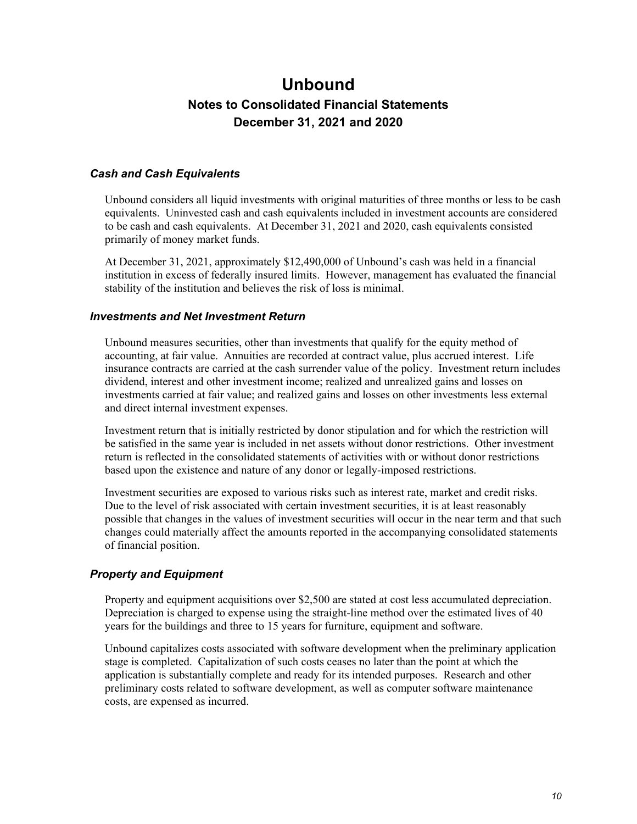### *Cash and Cash Equivalents*

Unbound considers all liquid investments with original maturities of three months or less to be cash equivalents. Uninvested cash and cash equivalents included in investment accounts are considered to be cash and cash equivalents. At December 31, 2021 and 2020, cash equivalents consisted primarily of money market funds.

At December 31, 2021, approximately \$12,490,000 of Unbound's cash was held in a financial institution in excess of federally insured limits. However, management has evaluated the financial stability of the institution and believes the risk of loss is minimal.

### *Investments and Net Investment Return*

Unbound measures securities, other than investments that qualify for the equity method of accounting, at fair value. Annuities are recorded at contract value, plus accrued interest. Life insurance contracts are carried at the cash surrender value of the policy. Investment return includes dividend, interest and other investment income; realized and unrealized gains and losses on investments carried at fair value; and realized gains and losses on other investments less external and direct internal investment expenses.

Investment return that is initially restricted by donor stipulation and for which the restriction will be satisfied in the same year is included in net assets without donor restrictions. Other investment return is reflected in the consolidated statements of activities with or without donor restrictions based upon the existence and nature of any donor or legally-imposed restrictions.

Investment securities are exposed to various risks such as interest rate, market and credit risks. Due to the level of risk associated with certain investment securities, it is at least reasonably possible that changes in the values of investment securities will occur in the near term and that such changes could materially affect the amounts reported in the accompanying consolidated statements of financial position.

### *Property and Equipment*

Property and equipment acquisitions over \$2,500 are stated at cost less accumulated depreciation. Depreciation is charged to expense using the straight-line method over the estimated lives of 40 years for the buildings and three to 15 years for furniture, equipment and software.

Unbound capitalizes costs associated with software development when the preliminary application stage is completed. Capitalization of such costs ceases no later than the point at which the application is substantially complete and ready for its intended purposes. Research and other preliminary costs related to software development, as well as computer software maintenance costs, are expensed as incurred.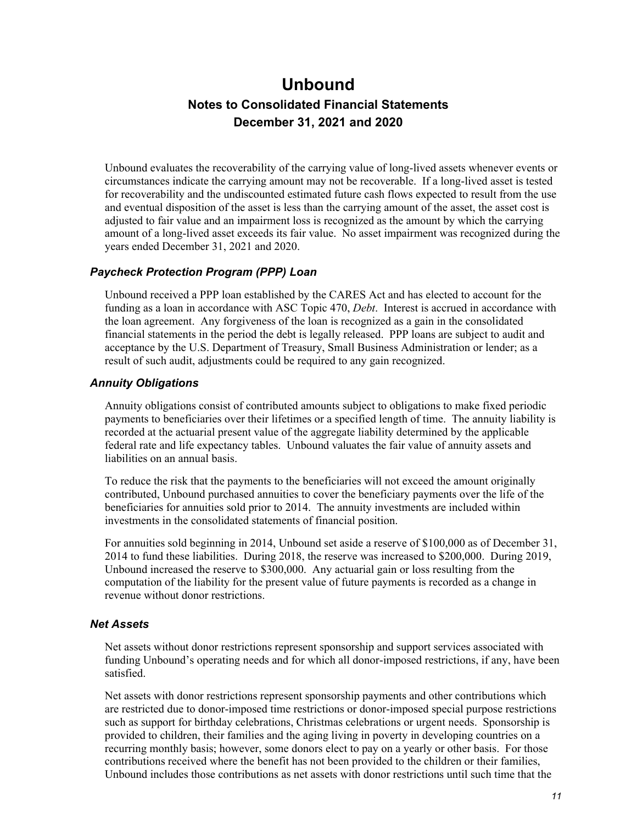Unbound evaluates the recoverability of the carrying value of long-lived assets whenever events or circumstances indicate the carrying amount may not be recoverable. If a long-lived asset is tested for recoverability and the undiscounted estimated future cash flows expected to result from the use and eventual disposition of the asset is less than the carrying amount of the asset, the asset cost is adjusted to fair value and an impairment loss is recognized as the amount by which the carrying amount of a long-lived asset exceeds its fair value. No asset impairment was recognized during the years ended December 31, 2021 and 2020.

#### *Paycheck Protection Program (PPP) Loan*

Unbound received a PPP loan established by the CARES Act and has elected to account for the funding as a loan in accordance with ASC Topic 470, *Debt*. Interest is accrued in accordance with the loan agreement. Any forgiveness of the loan is recognized as a gain in the consolidated financial statements in the period the debt is legally released. PPP loans are subject to audit and acceptance by the U.S. Department of Treasury, Small Business Administration or lender; as a result of such audit, adjustments could be required to any gain recognized.

#### *Annuity Obligations*

Annuity obligations consist of contributed amounts subject to obligations to make fixed periodic payments to beneficiaries over their lifetimes or a specified length of time. The annuity liability is recorded at the actuarial present value of the aggregate liability determined by the applicable federal rate and life expectancy tables. Unbound valuates the fair value of annuity assets and liabilities on an annual basis.

To reduce the risk that the payments to the beneficiaries will not exceed the amount originally contributed, Unbound purchased annuities to cover the beneficiary payments over the life of the beneficiaries for annuities sold prior to 2014. The annuity investments are included within investments in the consolidated statements of financial position.

For annuities sold beginning in 2014, Unbound set aside a reserve of \$100,000 as of December 31, 2014 to fund these liabilities. During 2018, the reserve was increased to \$200,000. During 2019, Unbound increased the reserve to \$300,000. Any actuarial gain or loss resulting from the computation of the liability for the present value of future payments is recorded as a change in revenue without donor restrictions.

#### *Net Assets*

Net assets without donor restrictions represent sponsorship and support services associated with funding Unbound's operating needs and for which all donor-imposed restrictions, if any, have been satisfied.

Net assets with donor restrictions represent sponsorship payments and other contributions which are restricted due to donor-imposed time restrictions or donor-imposed special purpose restrictions such as support for birthday celebrations, Christmas celebrations or urgent needs. Sponsorship is provided to children, their families and the aging living in poverty in developing countries on a recurring monthly basis; however, some donors elect to pay on a yearly or other basis. For those contributions received where the benefit has not been provided to the children or their families, Unbound includes those contributions as net assets with donor restrictions until such time that the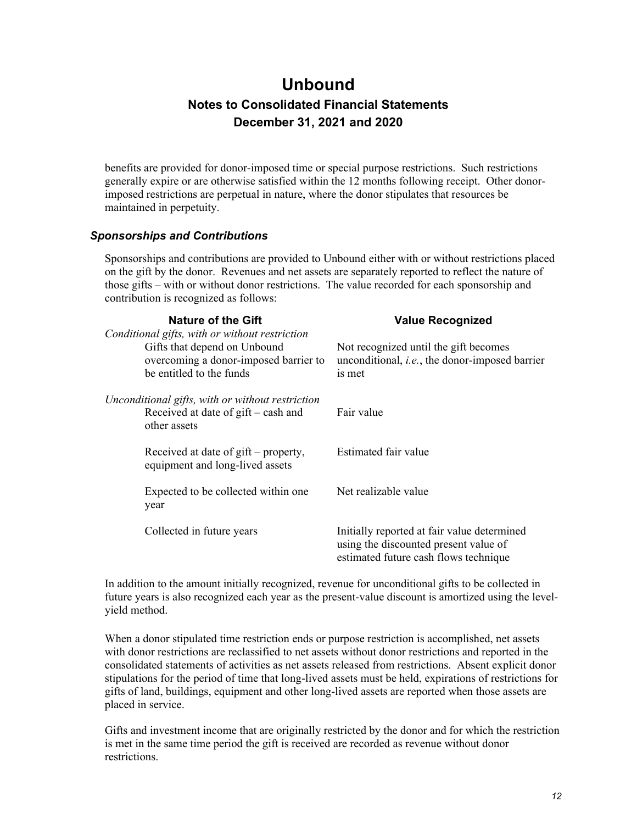benefits are provided for donor-imposed time or special purpose restrictions. Such restrictions generally expire or are otherwise satisfied within the 12 months following receipt. Other donorimposed restrictions are perpetual in nature, where the donor stipulates that resources be maintained in perpetuity.

### *Sponsorships and Contributions*

Sponsorships and contributions are provided to Unbound either with or without restrictions placed on the gift by the donor. Revenues and net assets are separately reported to reflect the nature of those gifts – with or without donor restrictions. The value recorded for each sponsorship and contribution is recognized as follows:

| Nature of the Gift                                                                                                                                  | <b>Value Recognized</b>                                                                                                       |
|-----------------------------------------------------------------------------------------------------------------------------------------------------|-------------------------------------------------------------------------------------------------------------------------------|
| Conditional gifts, with or without restriction<br>Gifts that depend on Unbound<br>overcoming a donor-imposed barrier to<br>be entitled to the funds | Not recognized until the gift becomes<br>unconditional, <i>i.e.</i> , the donor-imposed barrier<br>is met                     |
| Unconditional gifts, with or without restriction<br>Received at date of $g$ ift – cash and<br>other assets                                          | Fair value                                                                                                                    |
| Received at date of $g$ ift – property,<br>equipment and long-lived assets                                                                          | Estimated fair value                                                                                                          |
| Expected to be collected within one<br>year                                                                                                         | Net realizable value                                                                                                          |
| Collected in future years                                                                                                                           | Initially reported at fair value determined<br>using the discounted present value of<br>estimated future cash flows technique |

In addition to the amount initially recognized, revenue for unconditional gifts to be collected in future years is also recognized each year as the present-value discount is amortized using the levelyield method.

When a donor stipulated time restriction ends or purpose restriction is accomplished, net assets with donor restrictions are reclassified to net assets without donor restrictions and reported in the consolidated statements of activities as net assets released from restrictions. Absent explicit donor stipulations for the period of time that long-lived assets must be held, expirations of restrictions for gifts of land, buildings, equipment and other long-lived assets are reported when those assets are placed in service.

Gifts and investment income that are originally restricted by the donor and for which the restriction is met in the same time period the gift is received are recorded as revenue without donor restrictions.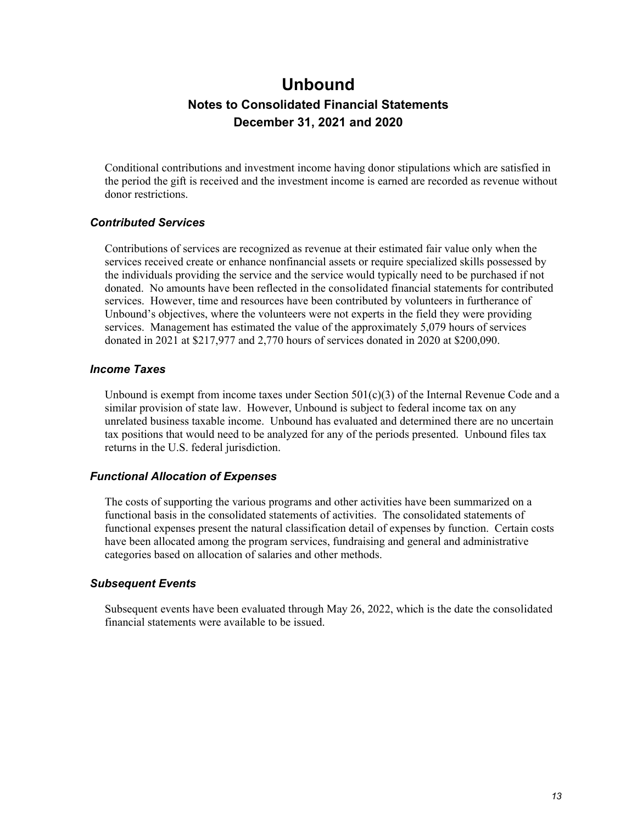Conditional contributions and investment income having donor stipulations which are satisfied in the period the gift is received and the investment income is earned are recorded as revenue without donor restrictions.

#### *Contributed Services*

Contributions of services are recognized as revenue at their estimated fair value only when the services received create or enhance nonfinancial assets or require specialized skills possessed by the individuals providing the service and the service would typically need to be purchased if not donated. No amounts have been reflected in the consolidated financial statements for contributed services. However, time and resources have been contributed by volunteers in furtherance of Unbound's objectives, where the volunteers were not experts in the field they were providing services. Management has estimated the value of the approximately 5,079 hours of services donated in 2021 at \$217,977 and 2,770 hours of services donated in 2020 at \$200,090.

#### *Income Taxes*

Unbound is exempt from income taxes under Section  $501(c)(3)$  of the Internal Revenue Code and a similar provision of state law. However, Unbound is subject to federal income tax on any unrelated business taxable income. Unbound has evaluated and determined there are no uncertain tax positions that would need to be analyzed for any of the periods presented. Unbound files tax returns in the U.S. federal jurisdiction.

### *Functional Allocation of Expenses*

The costs of supporting the various programs and other activities have been summarized on a functional basis in the consolidated statements of activities. The consolidated statements of functional expenses present the natural classification detail of expenses by function. Certain costs have been allocated among the program services, fundraising and general and administrative categories based on allocation of salaries and other methods.

#### *Subsequent Events*

Subsequent events have been evaluated through May 26, 2022, which is the date the consolidated financial statements were available to be issued.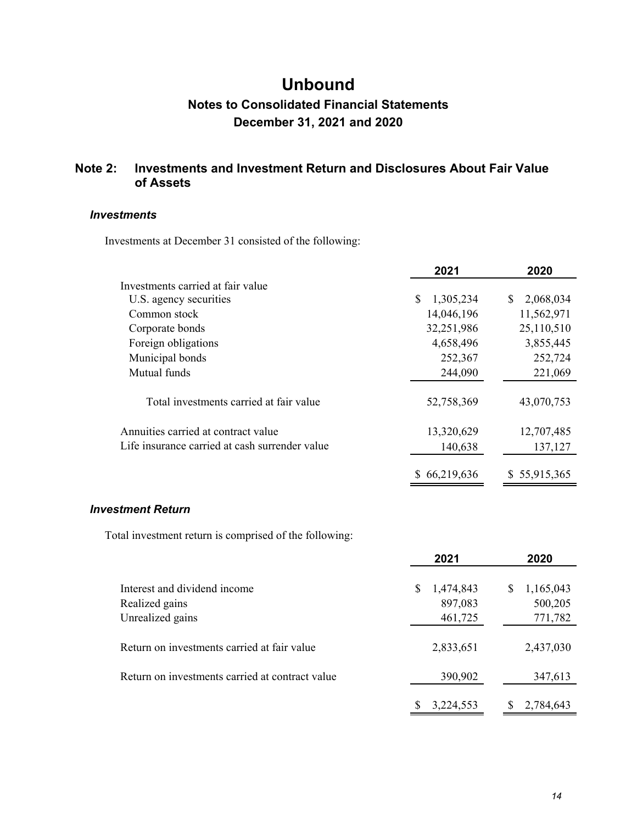# **Unbound**

### **Notes to Consolidated Financial Statements December 31, 2021 and 2020**

### **Note 2: Investments and Investment Return and Disclosures About Fair Value of Assets**

### *Investments*

Investments at December 31 consisted of the following:

|                                                        | 2021            | 2020            |
|--------------------------------------------------------|-----------------|-----------------|
| Investments carried at fair value                      |                 |                 |
| U.S. agency securities                                 | \$<br>1,305,234 | \$<br>2,068,034 |
| Common stock                                           | 14,046,196      | 11,562,971      |
| Corporate bonds                                        | 32,251,986      | 25,110,510      |
| Foreign obligations                                    | 4,658,496       | 3,855,445       |
| Municipal bonds                                        | 252,367         | 252,724         |
| Mutual funds                                           | 244,090         | 221,069         |
| Total investments carried at fair value                | 52,758,369      | 43,070,753      |
| Annuities carried at contract value                    | 13,320,629      | 12,707,485      |
| Life insurance carried at cash surrender value         | 140,638         | 137,127         |
|                                                        | \$66,219,636    | \$55,915,365    |
| <b>Investment Return</b>                               |                 |                 |
| Total investment return is comprised of the following: |                 |                 |
|                                                        | 2021            | 2020            |
| Interest and dividend income                           | \$<br>1,474,843 | \$<br>1,165,043 |
| Realized gains                                         | 897,083         | 500,205         |
| Unrealized gains                                       | 461,725         | 771,782         |
| Return on investments carried at fair value            | 2,833,651       | 2,437,030       |
| Return on investments carried at contract value        | 390,902         | 347,613         |
|                                                        | \$<br>3,224,553 | \$<br>2,784,643 |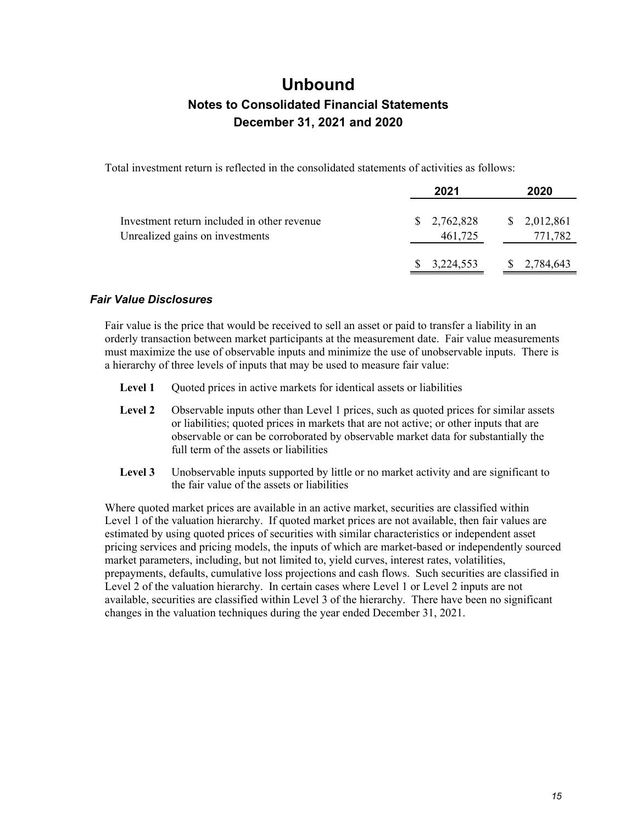Total investment return is reflected in the consolidated statements of activities as follows:

|                                                                                | 2021                             | 2020                   |
|--------------------------------------------------------------------------------|----------------------------------|------------------------|
| Investment return included in other revenue<br>Unrealized gains on investments | $\frac{$}{2,762,828}$<br>461,725 | \$2,012,861<br>771,782 |
|                                                                                | 3,224,553                        | 2,784,643<br>S.        |

### *Fair Value Disclosures*

Fair value is the price that would be received to sell an asset or paid to transfer a liability in an orderly transaction between market participants at the measurement date. Fair value measurements must maximize the use of observable inputs and minimize the use of unobservable inputs. There is a hierarchy of three levels of inputs that may be used to measure fair value:

- **Level 1** Ouoted prices in active markets for identical assets or liabilities
- Level 2 Observable inputs other than Level 1 prices, such as quoted prices for similar assets or liabilities; quoted prices in markets that are not active; or other inputs that are observable or can be corroborated by observable market data for substantially the full term of the assets or liabilities
- Level 3 Unobservable inputs supported by little or no market activity and are significant to the fair value of the assets or liabilities

Where quoted market prices are available in an active market, securities are classified within Level 1 of the valuation hierarchy. If quoted market prices are not available, then fair values are estimated by using quoted prices of securities with similar characteristics or independent asset pricing services and pricing models, the inputs of which are market-based or independently sourced market parameters, including, but not limited to, yield curves, interest rates, volatilities, prepayments, defaults, cumulative loss projections and cash flows. Such securities are classified in Level 2 of the valuation hierarchy. In certain cases where Level 1 or Level 2 inputs are not available, securities are classified within Level 3 of the hierarchy. There have been no significant changes in the valuation techniques during the year ended December 31, 2021.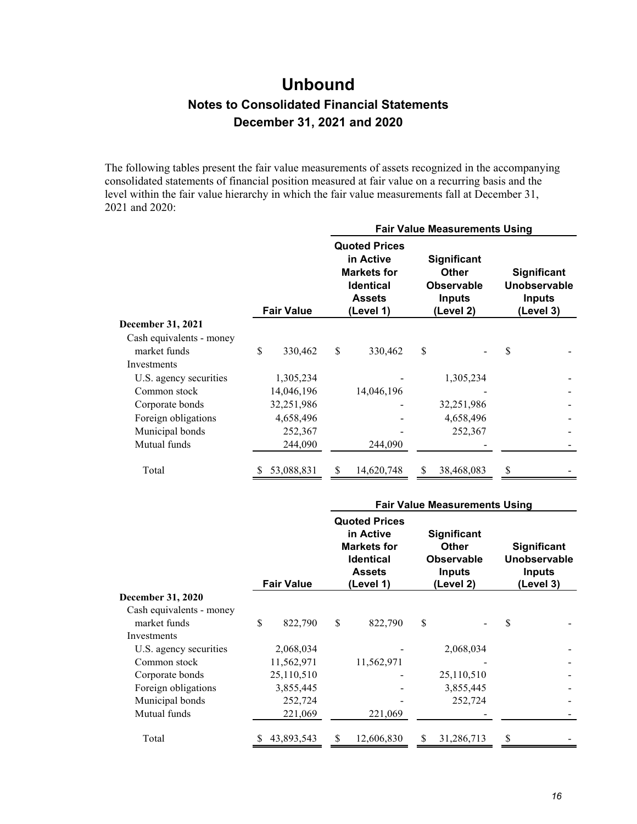The following tables present the fair value measurements of assets recognized in the accompanying consolidated statements of financial position measured at fair value on a recurring basis and the level within the fair value hierarchy in which the fair value measurements fall at December 31, 2021 and 2020:

|                          |            |                   | <b>Fair Value Measurements Using</b> |                                                                                                           |    |                                                                                       |                                                                  |            |  |  |
|--------------------------|------------|-------------------|--------------------------------------|-----------------------------------------------------------------------------------------------------------|----|---------------------------------------------------------------------------------------|------------------------------------------------------------------|------------|--|--|
|                          |            | <b>Fair Value</b> |                                      | <b>Quoted Prices</b><br>in Active<br><b>Markets for</b><br><b>Identical</b><br><b>Assets</b><br>(Level 1) |    | <b>Significant</b><br><b>Other</b><br><b>Observable</b><br><b>Inputs</b><br>(Level 2) | <b>Significant</b><br>Unobservable<br><b>Inputs</b><br>(Level 3) |            |  |  |
| December 31, 2021        |            |                   |                                      |                                                                                                           |    |                                                                                       |                                                                  |            |  |  |
| Cash equivalents - money |            |                   |                                      |                                                                                                           |    |                                                                                       |                                                                  |            |  |  |
| market funds             | \$         | 330,462           | \$                                   | 330,462                                                                                                   | \$ |                                                                                       | \$                                                               |            |  |  |
| Investments              |            |                   |                                      |                                                                                                           |    |                                                                                       |                                                                  |            |  |  |
| U.S. agency securities   |            | 1,305,234         |                                      |                                                                                                           |    | 1,305,234                                                                             |                                                                  |            |  |  |
| Common stock             | 14,046,196 |                   |                                      | 14,046,196                                                                                                |    |                                                                                       |                                                                  |            |  |  |
| Corporate bonds          | 32,251,986 |                   |                                      |                                                                                                           |    |                                                                                       |                                                                  | 32,251,986 |  |  |
| Foreign obligations      |            | 4,658,496         |                                      |                                                                                                           |    | 4,658,496                                                                             |                                                                  |            |  |  |
| Municipal bonds          |            | 252,367           |                                      |                                                                                                           |    | 252,367                                                                               |                                                                  |            |  |  |
| Mutual funds             |            | 244,090           |                                      | 244,090                                                                                                   |    |                                                                                       |                                                                  |            |  |  |
| Total                    |            | 53,088,831        |                                      | 14,620,748                                                                                                |    | 38,468,083                                                                            | S                                                                |            |  |  |

|                          |                   |            | <b>Fair Value Measurements Using</b>                                                                      |            |                                                                                       |            |                                                                  |  |
|--------------------------|-------------------|------------|-----------------------------------------------------------------------------------------------------------|------------|---------------------------------------------------------------------------------------|------------|------------------------------------------------------------------|--|
|                          | <b>Fair Value</b> |            | <b>Quoted Prices</b><br>in Active<br><b>Markets for</b><br><b>Identical</b><br><b>Assets</b><br>(Level 1) |            | <b>Significant</b><br><b>Other</b><br><b>Observable</b><br><b>Inputs</b><br>(Level 2) |            | <b>Significant</b><br>Unobservable<br><b>Inputs</b><br>(Level 3) |  |
| <b>December 31, 2020</b> |                   |            |                                                                                                           |            |                                                                                       |            |                                                                  |  |
| Cash equivalents - money |                   |            |                                                                                                           |            |                                                                                       |            |                                                                  |  |
| market funds             | \$                | 822,790    | \$                                                                                                        | 822,790    | \$                                                                                    |            | <sup>\$</sup>                                                    |  |
| Investments              |                   |            |                                                                                                           |            |                                                                                       |            |                                                                  |  |
| U.S. agency securities   |                   | 2,068,034  |                                                                                                           |            |                                                                                       | 2,068,034  |                                                                  |  |
| Common stock             |                   | 11,562,971 |                                                                                                           | 11,562,971 |                                                                                       |            |                                                                  |  |
| Corporate bonds          |                   | 25,110,510 |                                                                                                           |            |                                                                                       | 25,110,510 |                                                                  |  |
| Foreign obligations      |                   | 3,855,445  |                                                                                                           |            |                                                                                       | 3,855,445  |                                                                  |  |
| Municipal bonds          |                   | 252,724    |                                                                                                           |            |                                                                                       | 252,724    |                                                                  |  |
| Mutual funds             |                   | 221,069    |                                                                                                           | 221,069    |                                                                                       |            |                                                                  |  |
| Total                    |                   | 43,893,543 |                                                                                                           | 12,606,830 | S                                                                                     | 31,286,713 | \$                                                               |  |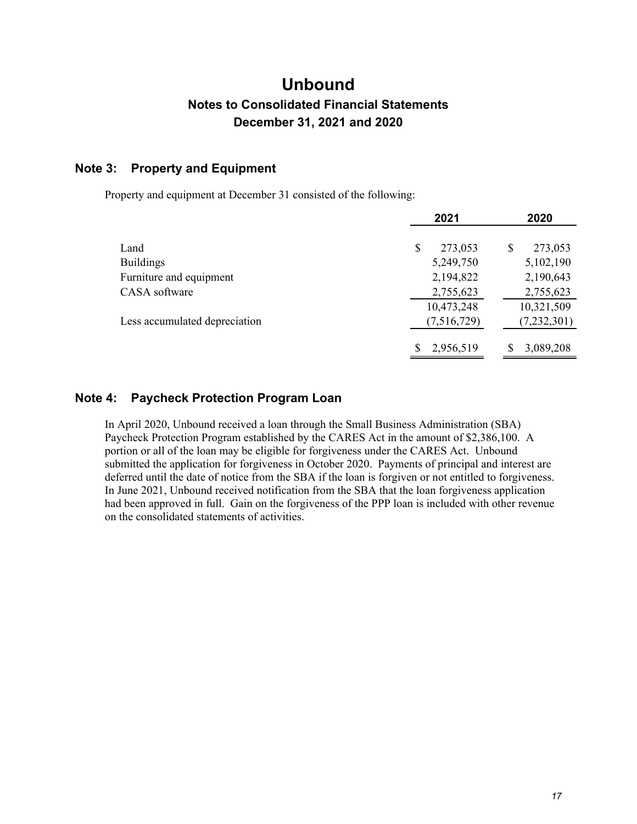### **Note 3: Property and Equipment**

Property and equipment at December 31 consisted of the following:

|                               | 2021         |               |
|-------------------------------|--------------|---------------|
|                               |              |               |
| Land                          | S<br>273,053 | 273,053<br>S  |
| <b>Buildings</b>              | 5,249,750    | 5,102,190     |
| Furniture and equipment       | 2,194,822    | 2,190,643     |
| CASA software                 | 2,755,623    | 2,755,623     |
|                               | 10,473,248   | 10,321,509    |
| Less accumulated depreciation | (7,516,729)  | (7, 232, 301) |
|                               |              |               |
|                               | 2,956,519    | 3,089,208     |

### **Note 4: Paycheck Protection Program Loan**

In April 2020, Unbound received a loan through the Small Business Administration (SBA) Paycheck Protection Program established by the CARES Act in the amount of \$2,386,100. A portion or all of the loan may be eligible for forgiveness under the CARES Act. Unbound submitted the application for forgiveness in October 2020. Payments of principal and interest are deferred until the date of notice from the SBA if the loan is forgiven or not entitled to forgiveness. In June 2021, Unbound received notification from the SBA that the loan forgiveness application had been approved in full. Gain on the forgiveness of the PPP loan is included with other revenue on the consolidated statements of activities.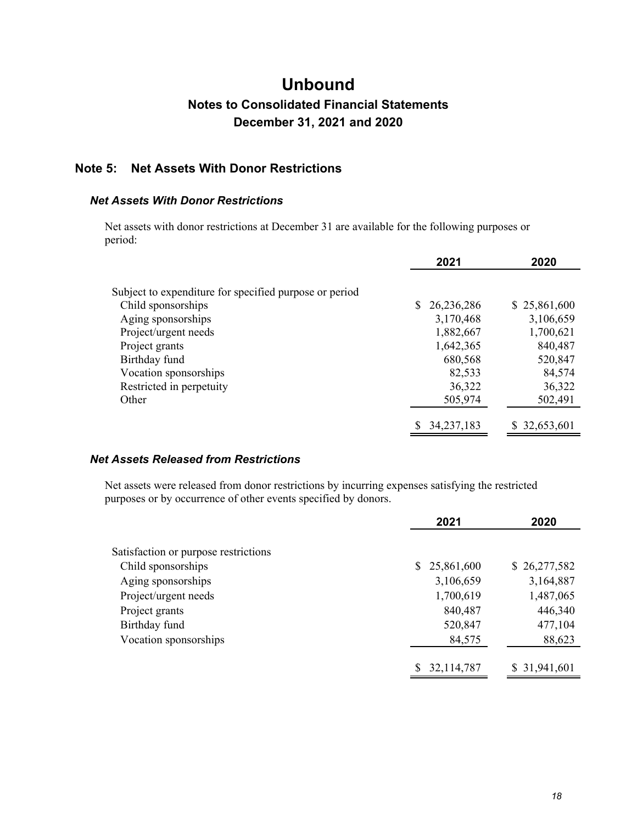### **Note 5: Net Assets With Donor Restrictions**

### *Net Assets With Donor Restrictions*

Net assets with donor restrictions at December 31 are available for the following purposes or period:

|                                                        | 2021         | 2020         |
|--------------------------------------------------------|--------------|--------------|
| Subject to expenditure for specified purpose or period |              |              |
| Child sponsorships                                     | 26,236,286   | \$25,861,600 |
| Aging sponsorships                                     | 3,170,468    | 3,106,659    |
| Project/urgent needs                                   | 1,882,667    | 1,700,621    |
| Project grants                                         | 1,642,365    | 840,487      |
| Birthday fund                                          | 680,568      | 520,847      |
| Vocation sponsorships                                  | 82,533       | 84,574       |
| Restricted in perpetuity                               | 36,322       | 36,322       |
| Other                                                  | 505,974      | 502,491      |
|                                                        | 34, 237, 183 | \$32,653,601 |

#### *Net Assets Released from Restrictions*

Net assets were released from donor restrictions by incurring expenses satisfying the restricted purposes or by occurrence of other events specified by donors.

|                                      | 2021             | 2020          |
|--------------------------------------|------------------|---------------|
| Satisfaction or purpose restrictions |                  |               |
| Child sponsorships                   | 25,861,600<br>S. | \$26,277,582  |
| Aging sponsorships                   | 3,106,659        | 3,164,887     |
| Project/urgent needs                 | 1,700,619        | 1,487,065     |
| Project grants                       | 840,487          | 446,340       |
| Birthday fund                        | 520,847          | 477,104       |
| Vocation sponsorships                | 84,575           | 88,623        |
|                                      | 32,114,787       | \$ 31,941,601 |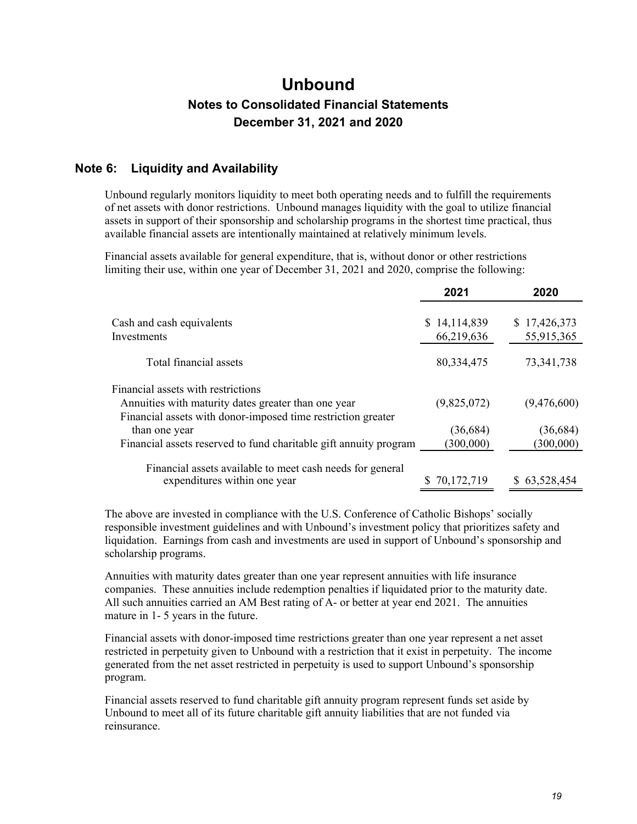### **Note 6: Liquidity and Availability**

Unbound regularly monitors liquidity to meet both operating needs and to fulfill the requirements of net assets with donor restrictions. Unbound manages liquidity with the goal to utilize financial assets in support of their sponsorship and scholarship programs in the shortest time practical, thus available financial assets are intentionally maintained at relatively minimum levels.

Financial assets available for general expenditure, that is, without donor or other restrictions limiting their use, within one year of December 31, 2021 and 2020, comprise the following:

|                                                                   | 2021             | 2020         |
|-------------------------------------------------------------------|------------------|--------------|
| Cash and cash equivalents                                         | 14,114,839<br>S. | \$17,426,373 |
| Investments                                                       | 66,219,636       | 55,915,365   |
| Total financial assets                                            | 80,334,475       | 73, 341, 738 |
| Financial assets with restrictions                                |                  |              |
| Annuities with maturity dates greater than one year               | (9,825,072)      | (9,476,600)  |
| Financial assets with donor-imposed time restriction greater      |                  |              |
| than one year                                                     | (36, 684)        | (36, 684)    |
| Financial assets reserved to fund charitable gift annuity program | (300,000)        | (300,000)    |
| Financial assets available to meet cash needs for general         |                  |              |
| expenditures within one year                                      | 70,172,719       | \$63,528,454 |

The above are invested in compliance with the U.S. Conference of Catholic Bishops' socially responsible investment guidelines and with Unbound's investment policy that prioritizes safety and liquidation. Earnings from cash and investments are used in support of Unbound's sponsorship and scholarship programs.

Annuities with maturity dates greater than one year represent annuities with life insurance companies. These annuities include redemption penalties if liquidated prior to the maturity date. All such annuities carried an AM Best rating of A- or better at year end 2021. The annuities mature in 1- 5 years in the future.

Financial assets with donor-imposed time restrictions greater than one year represent a net asset restricted in perpetuity given to Unbound with a restriction that it exist in perpetuity. The income generated from the net asset restricted in perpetuity is used to support Unbound's sponsorship program.

Financial assets reserved to fund charitable gift annuity program represent funds set aside by Unbound to meet all of its future charitable gift annuity liabilities that are not funded via reinsurance.